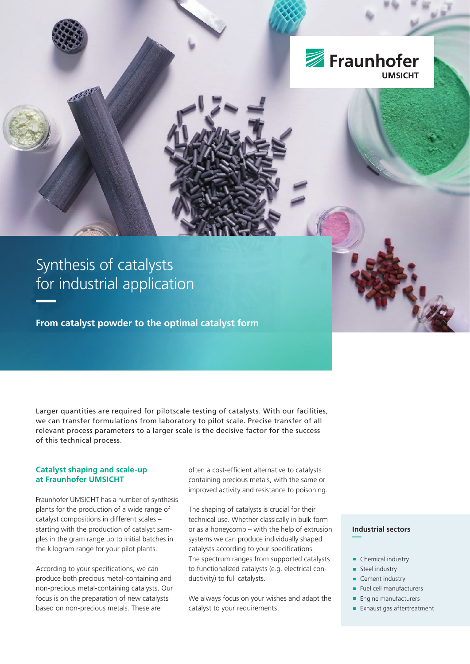

# Synthesis of catalysts for industrial application

**From catalyst powder to the optimal catalyst form**

Larger quantities are required for pilotscale testing of catalysts. With our facilities, we can transfer formulations from laboratory to pilot scale. Precise transfer of all relevant process parameters to a larger scale is the decisive factor for the success of this technical process.

### **Catalyst shaping and scale-up at Fraunhofer UMSICHT**

Fraunhofer UMSICHT has a number of synthesis plants for the production of a wide range of catalyst compositions in different scales – starting with the production of catalyst samples in the gram range up to initial batches in the kilogram range for your pilot plants.

According to your specifications, we can produce both precious metal-containing and non-precious metal-containing catalysts. Our focus is on the preparation of new catalysts based on non-precious metals. These are

often a cost-efficient alternative to catalysts containing precious metals, with the same or improved activity and resistance to poisoning.

The shaping of catalysts is crucial for their technical use. Whether classically in bulk form or as a honeycomb – with the help of extrusion systems we can produce individually shaped catalysts according to your specifications. The spectrum ranges from supported catalysts to functionalized catalysts (e.g. electrical conductivity) to full catalysts.

We always focus on your wishes and adapt the catalyst to your requirements.

### **Industrial sectors**

- 
- Chemical industry
- Steel industry
- Cement industry
- Fuel cell manufacturers
- **Engine manufacturers**
- **Exhaust gas aftertreatment**